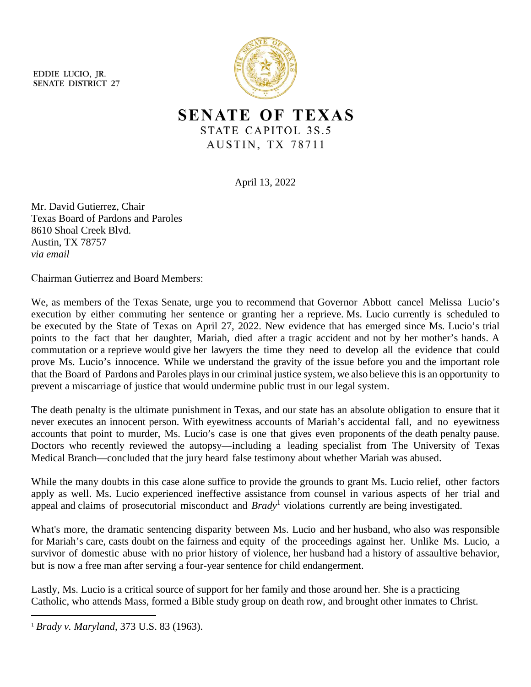EDDIE LUCIO, IR. **SENATE DISTRICT 27** 



**SENATE OF TEXAS** STATE CAPITOL 3S.5 AUSTIN, TX 78711

April 13, 2022

Mr. David Gutierrez, Chair Texas Board of Pardons and Paroles 8610 Shoal Creek Blvd. Austin, TX 78757 *via email* 

Chairman Gutierrez and Board Members:

We, as members of the Texas Senate, urge you to recommend that Governor Abbott cancel Melissa Lucio's execution by either commuting her sentence or granting her a reprieve. Ms. Lucio currently is scheduled to be executed by the State of Texas on April 27, 2022. New evidence that has emerged since Ms. Lucio's trial points to the fact that her daughter, Mariah, died after a tragic accident and not by her mother's hands. A commutation or a reprieve would give her lawyers the time they need to develop all the evidence that could prove Ms. Lucio's innocence. While we understand the gravity of the issue before you and the important role that the Board of Pardons and Paroles playsin our criminal justice system, we also believe this is an opportunity to prevent a miscarriage of justice that would undermine public trust in our legal system.

The death penalty is the ultimate punishment in Texas, and our state has an absolute obligation to ensure that it never executes an innocent person. With eyewitness accounts of Mariah's accidental fall, and no eyewitness accounts that point to murder, Ms. Lucio's case is one that gives even proponents of the death penalty pause. Doctors who recently reviewed the autopsy—including a leading specialist from The University of Texas Medical Branch—concluded that the jury heard false testimony about whether Mariah was abused.

While the many doubts in this case alone suffice to provide the grounds to grant Ms. Lucio relief, other factors apply as well. Ms. Lucio experienced ineffective assistance from counsel in various aspects of her trial and appeal and claims of prosecutorial misconduct and *Brady*[1](#page-0-0) violations currently are being investigated.

What's more, the dramatic sentencing disparity between Ms. Lucio and her husband, who also was responsible for Mariah's care, casts doubt on the fairness and equity of the proceedings against her. Unlike Ms. Lucio, a survivor of domestic abuse with no prior history of violence, her husband had a history of assaultive behavior, but is now a free man after serving a four-year sentence for child endangerment.

Lastly, Ms. Lucio is a critical source of support for her family and those around her. She is a practicing Catholic, who attends Mass, formed a Bible study group on death row, and brought other inmates to Christ.

<span id="page-0-0"></span><sup>1</sup> *Brady v. Maryland*, 373 U.S. 83 (1963).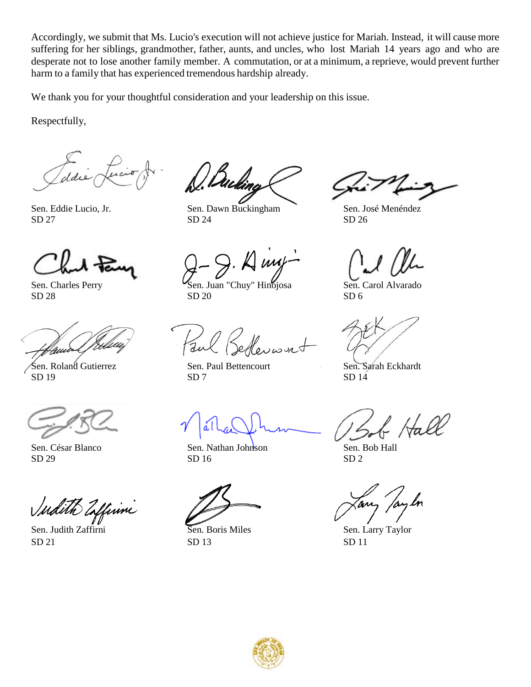Accordingly, we submit that Ms. Lucio's execution will not achieve justice for Mariah. Instead, it will cause more suffering for her siblings, grandmother, father, aunts, and uncles, who lost Mariah 14 years ago and who are desperate not to lose another family member. A commutation, or at a minimum, a reprieve, would prevent further harm to a family that has experienced tremendous hardship already.

We thank you for your thoughtful consideration and your leadership on this issue.

Respectfully,



Sen. Roland Gutierrez Sen. Paul Bettencourt Sen. Sarah Eckhardt

Sen. César Blanco Sen. Nathan Johnson Sen. Bob Hall  $SD 29$   $SD 16$   $SD 2$ 

dith Enffirmi

 $SD 21$   $SD 13$   $SD 11$ 

Sen. Eddie Lucio, Jr. Sen. Dawn Buckingham Sen. José Menéndez  $SD 27$   $SD 24$   $SD 26$ 

Sen. Charles Perry Sen. Juan "Chuy" Hinojosa Sen. Carol Alvarado<br>SD 28 SD 20 SD 6  $SD 28$   $SD 20$   $SD 6$ 

 $SD 19$   $SD 7$   $SD 14$ 

Hall

Sen. Judith Zaffirni Sen. Boris Miles Sen. Larry Taylor